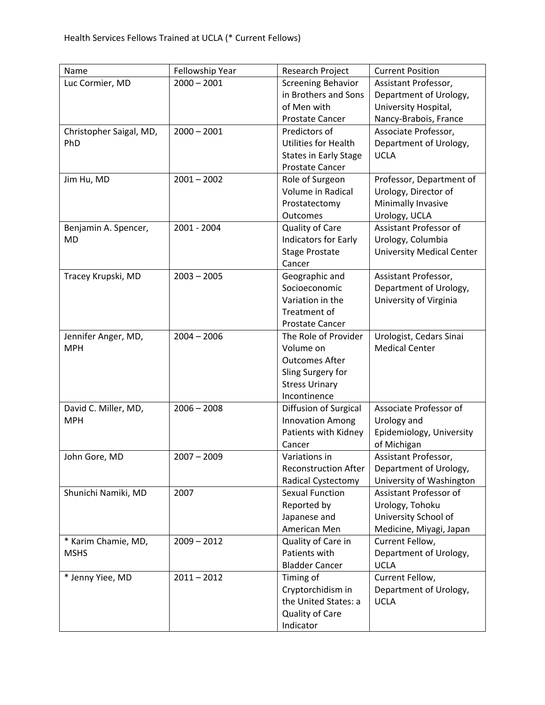| Name                    | Fellowship Year | Research Project             | <b>Current Position</b>          |
|-------------------------|-----------------|------------------------------|----------------------------------|
| Luc Cormier, MD         | $2000 - 2001$   | <b>Screening Behavior</b>    | Assistant Professor,             |
|                         |                 | in Brothers and Sons         | Department of Urology,           |
|                         |                 | of Men with                  | University Hospital,             |
|                         |                 | <b>Prostate Cancer</b>       | Nancy-Brabois, France            |
| Christopher Saigal, MD, | $2000 - 2001$   | Predictors of                | Associate Professor,             |
| PhD                     |                 | Utilities for Health         | Department of Urology,           |
|                         |                 | <b>States in Early Stage</b> | <b>UCLA</b>                      |
|                         |                 | <b>Prostate Cancer</b>       |                                  |
| Jim Hu, MD              | $2001 - 2002$   | Role of Surgeon              | Professor, Department of         |
|                         |                 | Volume in Radical            | Urology, Director of             |
|                         |                 | Prostatectomy                | Minimally Invasive               |
|                         |                 | Outcomes                     | Urology, UCLA                    |
| Benjamin A. Spencer,    | 2001 - 2004     | Quality of Care              | Assistant Professor of           |
| <b>MD</b>               |                 | <b>Indicators for Early</b>  | Urology, Columbia                |
|                         |                 | <b>Stage Prostate</b>        | <b>University Medical Center</b> |
|                         |                 | Cancer                       |                                  |
| Tracey Krupski, MD      | $2003 - 2005$   | Geographic and               | Assistant Professor,             |
|                         |                 | Socioeconomic                | Department of Urology,           |
|                         |                 | Variation in the             | University of Virginia           |
|                         |                 | Treatment of                 |                                  |
|                         |                 | <b>Prostate Cancer</b>       |                                  |
| Jennifer Anger, MD,     | $2004 - 2006$   | The Role of Provider         | Urologist, Cedars Sinai          |
| <b>MPH</b>              |                 | Volume on                    | <b>Medical Center</b>            |
|                         |                 | <b>Outcomes After</b>        |                                  |
|                         |                 | Sling Surgery for            |                                  |
|                         |                 | <b>Stress Urinary</b>        |                                  |
|                         |                 | Incontinence                 |                                  |
| David C. Miller, MD,    | $2006 - 2008$   | Diffusion of Surgical        | Associate Professor of           |
| <b>MPH</b>              |                 | <b>Innovation Among</b>      | Urology and                      |
|                         |                 | Patients with Kidney         | Epidemiology, University         |
|                         |                 | Cancer                       | of Michigan                      |
| John Gore, MD           | $2007 - 2009$   | Variations in                | Assistant Professor,             |
|                         |                 | <b>Reconstruction After</b>  | Department of Urology,           |
|                         |                 | <b>Radical Cystectomy</b>    | University of Washington         |
| Shunichi Namiki, MD     | 2007            | <b>Sexual Function</b>       | Assistant Professor of           |
|                         |                 | Reported by                  | Urology, Tohoku                  |
|                         |                 | Japanese and                 | University School of             |
|                         |                 | American Men                 | Medicine, Miyagi, Japan          |
| * Karim Chamie, MD,     | $2009 - 2012$   | Quality of Care in           | Current Fellow,                  |
| <b>MSHS</b>             |                 | Patients with                | Department of Urology,           |
|                         |                 | <b>Bladder Cancer</b>        | <b>UCLA</b>                      |
| * Jenny Yiee, MD        | $2011 - 2012$   | Timing of                    | Current Fellow,                  |
|                         |                 | Cryptorchidism in            | Department of Urology,           |
|                         |                 | the United States: a         | <b>UCLA</b>                      |
|                         |                 | Quality of Care              |                                  |
|                         |                 | Indicator                    |                                  |